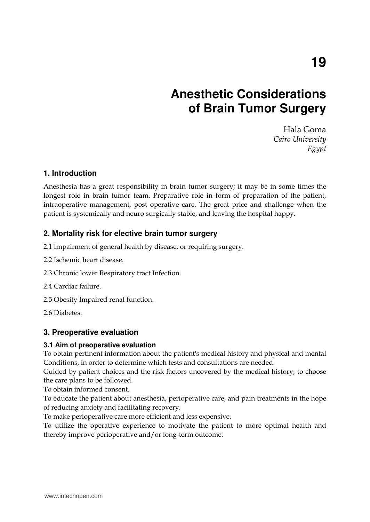# **Anesthetic Considerations of Brain Tumor Surgery**

Hala Goma *Cairo University Egypt* 

# **1. Introduction**

Anesthesia has a great responsibility in brain tumor surgery; it may be in some times the longest role in brain tumor team. Preparative role in form of preparation of the patient, intraoperative management, post operative care. The great price and challenge when the patient is systemically and neuro surgically stable, and leaving the hospital happy.

## **2. Mortality risk for elective brain tumor surgery**

- 2.1 Impairment of general health by disease, or requiring surgery.
- 2.2 Ischemic heart disease.
- 2.3 Chronic lower Respiratory tract Infection.
- 2.4 Cardiac failure.
- 2.5 Obesity Impaired renal function.
- 2.6 Diabetes.

# **3. Preoperative evaluation**

## **3.1 Aim of preoperative evaluation**

To obtain pertinent information about the patient's medical history and physical and mental Conditions, in order to determine which tests and consultations are needed.

Guided by patient choices and the risk factors uncovered by the medical history, to choose the care plans to be followed.

To obtain informed consent.

To educate the patient about anesthesia, perioperative care, and pain treatments in the hope of reducing anxiety and facilitating recovery.

To make perioperative care more efficient and less expensive.

To utilize the operative experience to motivate the patient to more optimal health and thereby improve perioperative and/or long-term outcome.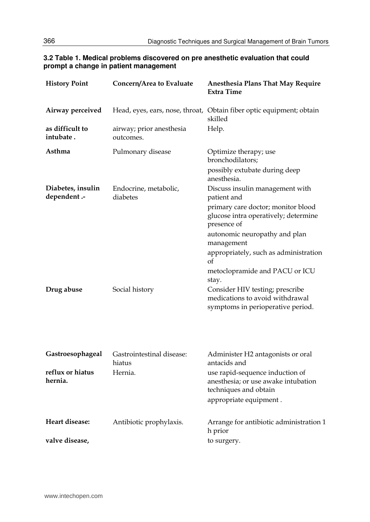| <b>History Point</b>             | Concern/Area to Evaluate              | Anesthesia Plans That May Require<br><b>Extra Time</b>                                                  |
|----------------------------------|---------------------------------------|---------------------------------------------------------------------------------------------------------|
| Airway perceived                 |                                       | Head, eyes, ears, nose, throat, Obtain fiber optic equipment; obtain<br>skilled                         |
| as difficult to<br>intubate.     | airway; prior anesthesia<br>outcomes. | Help.                                                                                                   |
| Asthma                           | Pulmonary disease                     | Optimize therapy; use<br>bronchodilators;                                                               |
|                                  |                                       | possibly extubate during deep<br>anesthesia.                                                            |
| Diabetes, insulin<br>dependent.- | Endocrine, metabolic,<br>diabetes     | Discuss insulin management with<br>patient and                                                          |
|                                  |                                       | primary care doctor; monitor blood<br>glucose intra operatively; determine<br>presence of               |
|                                  |                                       | autonomic neuropathy and plan<br>management                                                             |
|                                  |                                       | appropriately, such as administration<br>οf                                                             |
|                                  |                                       | metoclopramide and PACU or ICU<br>stay.                                                                 |
| Drug abuse                       | Social history                        | Consider HIV testing; prescribe<br>medications to avoid withdrawal<br>symptoms in perioperative period. |
|                                  |                                       |                                                                                                         |
| Gastroesophageal                 | Gastrointestinal disease:<br>hiatus   | Administer H2 antagonists or oral<br>antacids and                                                       |
| reflux or hiatus<br>hernia.      | Hernia.                               | use rapid-sequence induction of<br>anesthesia; or use awake intubation<br>techniques and obtain         |
|                                  |                                       | appropriate equipment.                                                                                  |
| Heart disease:                   | Antibiotic prophylaxis.               | Arrange for antibiotic administration 1<br>h prior                                                      |
| valve disease,                   |                                       | to surgery.                                                                                             |

## **3.2 Table 1. Medical problems discovered on pre anesthetic evaluation that could prompt a change in patient management**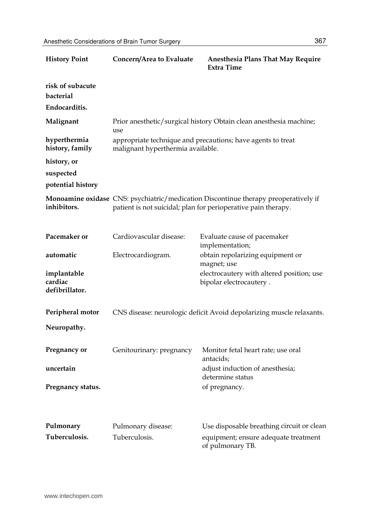| <b>History Point</b>                           | Concern/Area to Evaluate                                                                                                                                    | Anesthesia Plans That May Require<br><b>Extra Time</b>               |
|------------------------------------------------|-------------------------------------------------------------------------------------------------------------------------------------------------------------|----------------------------------------------------------------------|
| risk of subacute<br>bacterial<br>Endocarditis. |                                                                                                                                                             |                                                                      |
| Malignant                                      | Prior anesthetic/surgical history Obtain clean anesthesia machine;<br>use                                                                                   |                                                                      |
| hyperthermia<br>history, family                | appropriate technique and precautions; have agents to treat<br>malignant hyperthermia available.                                                            |                                                                      |
| history, or                                    |                                                                                                                                                             |                                                                      |
| suspected                                      |                                                                                                                                                             |                                                                      |
| potential history                              |                                                                                                                                                             |                                                                      |
| inhibitors.                                    | <b>Monoamine oxidase</b> CNS: psychiatric/medication Discontinue therapy preoperatively if<br>patient is not suicidal; plan for perioperative pain therapy. |                                                                      |
| Pacemaker or                                   | Cardiovascular disease:                                                                                                                                     | Evaluate cause of pacemaker<br>implementation;                       |
| automatic                                      | Electrocardiogram.                                                                                                                                          | obtain repolarizing equipment or<br>magnet; use                      |
| implantable<br>cardiac<br>defibrillator.       |                                                                                                                                                             | electrocautery with altered position; use<br>bipolar electrocautery. |
| Peripheral motor                               | CNS disease: neurologic deficit Avoid depolarizing muscle relaxants.                                                                                        |                                                                      |
| Neuropathy.                                    |                                                                                                                                                             |                                                                      |
| Pregnancy or                                   | Genitourinary: pregnancy                                                                                                                                    | Monitor fetal heart rate; use oral<br>antacids;                      |
| uncertain                                      |                                                                                                                                                             | adjust induction of anesthesia;<br>determine status                  |
| Pregnancy status.                              |                                                                                                                                                             | of pregnancy.                                                        |
| Pulmonary                                      | Pulmonary disease:                                                                                                                                          | Use disposable breathing circuit or clean                            |
| Tuberculosis.                                  | Tuberculosis.                                                                                                                                               | equipment; ensure adequate treatment<br>of pulmonary TB.             |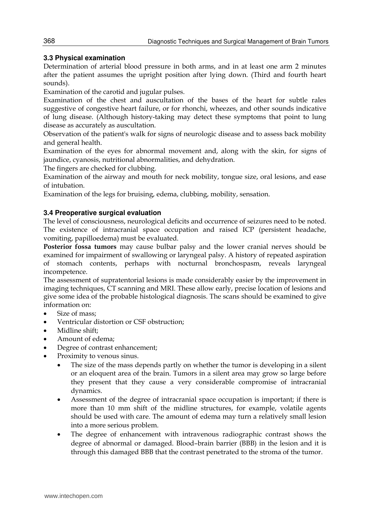## **3.3 Physical examination**

Determination of arterial blood pressure in both arms, and in at least one arm 2 minutes after the patient assumes the upright position after lying down. (Third and fourth heart sounds).

Examination of the carotid and jugular pulses.

Examination of the chest and auscultation of the bases of the heart for subtle rales suggestive of congestive heart failure, or for rhonchi, wheezes, and other sounds indicative of lung disease. (Although history-taking may detect these symptoms that point to lung disease as accurately as auscultation.

Observation of the patient's walk for signs of neurologic disease and to assess back mobility and general health.

Examination of the eyes for abnormal movement and, along with the skin, for signs of jaundice, cyanosis, nutritional abnormalities, and dehydration.

The fingers are checked for clubbing.

Examination of the airway and mouth for neck mobility, tongue size, oral lesions, and ease of intubation.

Examination of the legs for bruising, edema, clubbing, mobility, sensation.

## **3.4 Preoperative surgical evaluation**

The level of consciousness, neurological deficits and occurrence of seizures need to be noted. The existence of intracranial space occupation and raised ICP (persistent headache, vomiting, papilloedema) must be evaluated.

**Posterior fossa tumors** may cause bulbar palsy and the lower cranial nerves should be examined for impairment of swallowing or laryngeal palsy. A history of repeated aspiration of stomach contents, perhaps with nocturnal bronchospasm, reveals laryngeal incompetence.

The assessment of supratentorial lesions is made considerably easier by the improvement in imaging techniques, CT scanning and MRI. These allow early, precise location of lesions and give some idea of the probable histological diagnosis. The scans should be examined to give information on:

- Size of mass;
- Ventricular distortion or CSF obstruction;
- Midline shift;
- Amount of edema;
- Degree of contrast enhancement;
- Proximity to venous sinus.
	- The size of the mass depends partly on whether the tumor is developing in a silent or an eloquent area of the brain. Tumors in a silent area may grow so large before they present that they cause a very considerable compromise of intracranial dynamics.
	- Assessment of the degree of intracranial space occupation is important; if there is more than 10 mm shift of the midline structures, for example, volatile agents should be used with care. The amount of edema may turn a relatively small lesion into a more serious problem.
	- The degree of enhancement with intravenous radiographic contrast shows the degree of abnormal or damaged. Blood–brain barrier (BBB) in the lesion and it is through this damaged BBB that the contrast penetrated to the stroma of the tumor.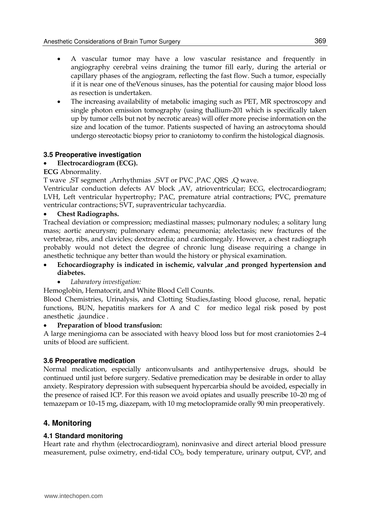- A vascular tumor may have a low vascular resistance and frequently in angiography cerebral veins draining the tumor fill early, during the arterial or capillary phases of the angiogram, reflecting the fast flow. Such a tumor, especially if it is near one of theVenous sinuses, has the potential for causing major blood loss as resection is undertaken.
- The increasing availability of metabolic imaging such as PET, MR spectroscopy and single photon emission tomography (using thallium-201 which is specifically taken up by tumor cells but not by necrotic areas) will offer more precise information on the size and location of the tumor. Patients suspected of having an astrocytoma should undergo stereotactic biopsy prior to craniotomy to confirm the histological diagnosis.

## **3.5 Preoperative investigation**

## **Electrocardiogram (ECG).**

## **ECG** Abnormality.

T wave ,ST segment ,Arrhythmias ,SVT or PVC ,PAC ,QRS ,Q wave.

Ventricular conduction defects AV block ,AV, atrioventricular; ECG, electrocardiogram; LVH, Left ventricular hypertrophy; PAC, premature atrial contractions; PVC, premature ventricular contractions; SVT, supraventricular tachycardia.

## **Chest Radiographs.**

Tracheal deviation or compression; mediastinal masses; pulmonary nodules; a solitary lung mass; aortic aneurysm; pulmonary edema; pneumonia; atelectasis; new fractures of the vertebrae, ribs, and clavicles; dextrocardia; and cardiomegaly. However, a chest radiograph probably would not detect the degree of chronic lung disease requiring a change in anesthetic technique any better than would the history or physical examination.

## **Echocardiography is indicated in ischemic, valvular ,and pronged hypertension and diabetes.**

*Labaratory investigation:* 

Hemoglobin, Hematocrit, and White Blood Cell Counts.

Blood Chemistries, Urinalysis, and Clotting Studies,fasting blood glucose, renal, hepatic functions, BUN, hepatitis markers for A and C for medico legal risk posed by post anesthetic ,jaundice .

## **Preparation of blood transfusion:**

A large meningioma can be associated with heavy blood loss but for most craniotomies 2–4 units of blood are sufficient.

## **3.6 Preoperative medication**

Normal medication, especially anticonvulsants and antihypertensive drugs, should be continued until just before surgery. Sedative premedication may be desirable in order to allay anxiety. Respiratory depression with subsequent hypercarbia should be avoided, especially in the presence of raised ICP. For this reason we avoid opiates and usually prescribe 10–20 mg of temazepam or 10–15 mg, diazepam, with 10 mg metoclopramide orally 90 min preoperatively.

# **4. Monitoring**

## **4.1 Standard monitoring**

Heart rate and rhythm (electrocardiogram), noninvasive and direct arterial blood pressure measurement, pulse oximetry, end-tidal CO<sub>2</sub>, body temperature, urinary output, CVP, and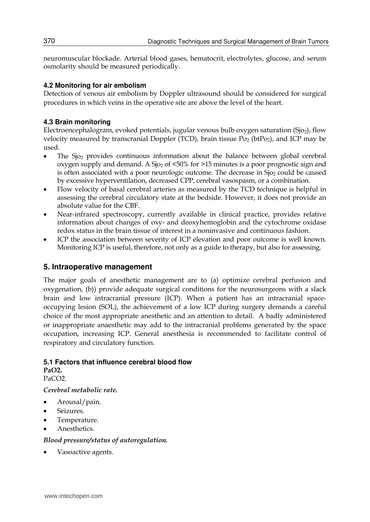neuromuscular blockade. Arterial blood gases, hematocrit, electrolytes, glucose, and serum osmolarity should be measured periodically.

## **4.2 Monitoring for air embolism**

Detection of venous air embolism by Doppler ultrasound should be considered for surgical procedures in which veins in the operative site are above the level of the heart.

## **4.3 Brain monitoring**

Electroencephalogram, evoked potentials, jugular venous bulb oxygen saturation (Sjo2), flow velocity measured by transcranial Doppler (TCD), brain tissue  $Po_2$  (bt $Po_2$ ), and ICP may be used.

- The Sjo<sub>2</sub> provides continuous information about the balance between global cerebral oxygen supply and demand. A  $S_0$  of  $\leq 50\%$  for  $\geq 15$  minutes is a poor prognostic sign and is often associated with a poor neurologic outcome. The decrease in Sjo<sub>2</sub> could be caused by excessive hyperventilation, decreased CPP, cerebral vasospasm, or a combination.
- Flow velocity of basal cerebral arteries as measured by the TCD technique is helpful in assessing the cerebral circulatory state at the bedside. However, it does not provide an absolute value for the CBF.
- Near-infrared spectroscopy, currently available in clinical practice, provides relative information about changes of oxy- and deoxyhemoglobin and the cytochrome oxidase redox status in the brain tissue of interest in a noninvasive and continuous fashion.
- ICP the association between severity of ICP elevation and poor outcome is well known. Monitoring ICP is useful, therefore, not only as a guide to therapy, but also for assessing.

## **5. Intraoperative management**

The major goals of anesthetic management are to (a) optimize cerebral perfusion and oxygenation, (b)) provide adequate surgical conditions for the neurosurgeons with a slack brain and low intracranial pressure (ICP). When a patient has an intracranial spaceoccupying lesion (SOL), the achievement of a low ICP during surgery demands a careful choice of the most appropriate anesthetic and an attention to detail. A badly administered or inappropriate anaesthetic may add to the intracranial problems generated by the space occupation, increasing ICP. General anesthesia is recommended to facilitate control of respiratory and circulatory function.

#### **5.1 Factors that influence cerebral blood flow PaO2.**

PaCO2.

## *Cerebral metabolic rate.*

- Arousal/pain.
- Seizures.
- Temperature.
- Anesthetics.

## *Blood pressure/status of autoregulation.*

Vasoactive agents.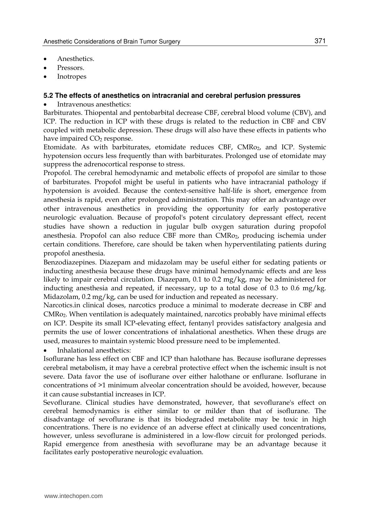- Anesthetics.
- Pressors.
- Inotropes

#### **5.2 The effects of anesthetics on intracranial and cerebral perfusion pressures**

Intravenous anesthetics:

Barbiturates. Thiopental and pentobarbital decrease CBF, cerebral blood volume (CBV), and ICP. The reduction in ICP with these drugs is related to the reduction in CBF and CBV coupled with metabolic depression. These drugs will also have these effects in patients who have impaired  $CO<sub>2</sub>$  response.

Etomidate. As with barbiturates, etomidate reduces CBF, CMRo<sub>2</sub>, and ICP. Systemic hypotension occurs less frequently than with barbiturates. Prolonged use of etomidate may suppress the adrenocortical response to stress.

Propofol. The cerebral hemodynamic and metabolic effects of propofol are similar to those of barbiturates. Propofol might be useful in patients who have intracranial pathology if hypotension is avoided. Because the context-sensitive half-life is short, emergence from anesthesia is rapid, even after prolonged administration. This may offer an advantage over other intravenous anesthetics in providing the opportunity for early postoperative neurologic evaluation. Because of propofol's potent circulatory depressant effect, recent studies have shown a reduction in jugular bulb oxygen saturation during propofol anesthesia. Propofol can also reduce CBF more than CMRo<sub>2</sub>, producing ischemia under certain conditions. Therefore, care should be taken when hyperventilating patients during propofol anesthesia.

Benzodiazepines. Diazepam and midazolam may be useful either for sedating patients or inducting anesthesia because these drugs have minimal hemodynamic effects and are less likely to impair cerebral circulation. Diazepam, 0.1 to 0.2 mg/kg, may be administered for inducting anesthesia and repeated, if necessary, up to a total dose of  $0.3$  to  $0.6 \text{ mg/kg}$ . Midazolam, 0.2 mg/kg, can be used for induction and repeated as necessary.

Narcotics.in clinical doses, narcotics produce a minimal to moderate decrease in CBF and CMRo2. When ventilation is adequately maintained, narcotics probably have minimal effects on ICP. Despite its small ICP-elevating effect, fentanyl provides satisfactory analgesia and permits the use of lower concentrations of inhalational anesthetics. When these drugs are used, measures to maintain systemic blood pressure need to be implemented.

Inhalational anesthetics:

Isoflurane has less effect on CBF and ICP than halothane has. Because isoflurane depresses cerebral metabolism, it may have a cerebral protective effect when the ischemic insult is not severe. Data favor the use of isoflurane over either halothane or enflurane. Isoflurane in concentrations of >1 minimum alveolar concentration should be avoided, however, because it can cause substantial increases in ICP.

Sevoflurane. Clinical studies have demonstrated, however, that sevoflurane's effect on cerebral hemodynamics is either similar to or milder than that of isoflurane. The disadvantage of sevoflurane is that its biodegraded metabolite may be toxic in high concentrations. There is no evidence of an adverse effect at clinically used concentrations, however, unless sevoflurane is administered in a low-flow circuit for prolonged periods. Rapid emergence from anesthesia with sevoflurane may be an advantage because it facilitates early postoperative neurologic evaluation.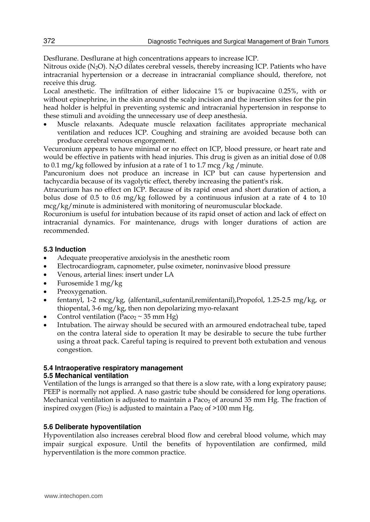Desflurane. Desflurane at high concentrations appears to increase ICP.

Nitrous oxide  $(N_2O)$ . N<sub>2</sub>O dilates cerebral vessels, thereby increasing ICP. Patients who have intracranial hypertension or a decrease in intracranial compliance should, therefore, not receive this drug.

Local anesthetic. The infiltration of either lidocaine 1% or bupivacaine 0.25%, with or without epinephrine, in the skin around the scalp incision and the insertion sites for the pin head holder is helpful in preventing systemic and intracranial hypertension in response to these stimuli and avoiding the unnecessary use of deep anesthesia.

 Muscle relaxants. Adequate muscle relaxation facilitates appropriate mechanical ventilation and reduces ICP. Coughing and straining are avoided because both can produce cerebral venous engorgement.

Vecuronium appears to have minimal or no effect on ICP, blood pressure, or heart rate and would be effective in patients with head injuries. This drug is given as an initial dose of 0.08 to 0.1 mg/kg followed by infusion at a rate of 1 to 1.7 mcg /kg /minute.

Pancuronium does not produce an increase in ICP but can cause hypertension and tachycardia because of its vagolytic effect, thereby increasing the patient's risk.

Atracurium has no effect on ICP. Because of its rapid onset and short duration of action, a bolus dose of 0.5 to 0.6 mg/kg followed by a continuous infusion at a rate of 4 to 10 mcg/kg/minute is administered with monitoring of neuromuscular blockade.

Rocuronium is useful for intubation because of its rapid onset of action and lack of effect on intracranial dynamics. For maintenance, drugs with longer durations of action are recommended.

## **5.3 Induction**

- Adequate preoperative anxiolysis in the anesthetic room
- Electrocardiogram, capnometer, pulse oximeter, noninvasive blood pressure
- Venous, arterial lines: insert under LA
- Furosemide 1 mg/kg
- Preoxygenation.
- fentanyl, 1-2 mcg/kg, (alfentanil,,sufentanil,remifentanil),Propofol, 1.25-2.5 mg/kg, or thiopental, 3-6 mg/kg, then non depolarizing myo-relaxant
- Control ventilation (Paco<sub>2</sub>  $\sim$  35 mm Hg)
- Intubation. The airway should be secured with an armoured endotracheal tube, taped on the contra lateral side to operation It may be desirable to secure the tube further using a throat pack. Careful taping is required to prevent both extubation and venous congestion.

# **5.4 Intraoperative respiratory management**

## **5.5 Mechanical ventilation**

Ventilation of the lungs is arranged so that there is a slow rate, with a long expiratory pause; PEEP is normally not applied. A naso gastric tube should be considered for long operations. Mechanical ventilation is adjusted to maintain a Paco<sub>2</sub> of around 35 mm Hg. The fraction of inspired oxygen (Fio<sub>2</sub>) is adjusted to maintain a Pao<sub>2</sub> of  $>100$  mm Hg.

## **5.6 Deliberate hypoventilation**

Hypoventilation also increases cerebral blood flow and cerebral blood volume, which may impair surgical exposure. Until the benefits of hypoventilation are confirmed, mild hyperventilation is the more common practice.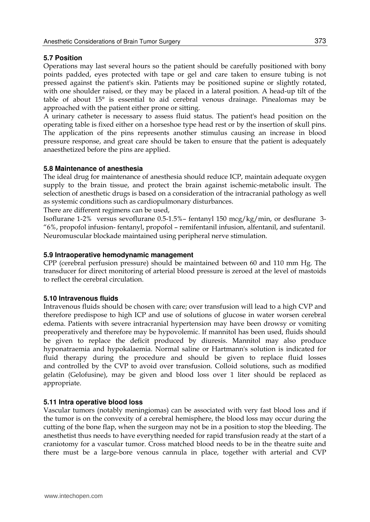## **5.7 Position**

Operations may last several hours so the patient should be carefully positioned with bony points padded, eyes protected with tape or gel and care taken to ensure tubing is not pressed against the patient's skin. Patients may be positioned supine or slightly rotated, with one shoulder raised, or they may be placed in a lateral position. A head-up tilt of the table of about 15° is essential to aid cerebral venous drainage. Pinealomas may be approached with the patient either prone or sitting.

A urinary catheter is necessary to assess fluid status. The patient's head position on the operating table is fixed either on a horseshoe type head rest or by the insertion of skull pins. The application of the pins represents another stimulus causing an increase in blood pressure response, and great care should be taken to ensure that the patient is adequately anaesthetized before the pins are applied.

## **5.8 Maintenance of anesthesia**

The ideal drug for maintenance of anesthesia should reduce ICP, maintain adequate oxygen supply to the brain tissue, and protect the brain against ischemic-metabolic insult. The selection of anesthetic drugs is based on a consideration of the intracranial pathology as well as systemic conditions such as cardiopulmonary disturbances.

There are different regimens can be used,

Isoflurane 1-2% versus sevoflurane 0.5-1.5%– fentanyl 150 mcg/kg/min, or desflurane 3- "6%, propofol infusion- fentanyl, propofol – remifentanil infusion, alfentanil, and sufentanil. Neuromuscular blockade maintained using peripheral nerve stimulation.

## **5.9 Intraoperative hemodynamic management**

CPP (cerebral perfusion pressure) should be maintained between 60 and 110 mm Hg. The transducer for direct monitoring of arterial blood pressure is zeroed at the level of mastoids to reflect the cerebral circulation.

## **5.10 Intravenous fluids**

Intravenous fluids should be chosen with care; over transfusion will lead to a high CVP and therefore predispose to high ICP and use of solutions of glucose in water worsen cerebral edema. Patients with severe intracranial hypertension may have been drowsy or vomiting preoperatively and therefore may be hypovolemic. If mannitol has been used, fluids should be given to replace the deficit produced by diuresis. Mannitol may also produce hyponatraemia and hypokalaemia. Normal saline or Hartmann's solution is indicated for fluid therapy during the procedure and should be given to replace fluid losses and controlled by the CVP to avoid over transfusion. Colloid solutions, such as modified gelatin (Gelofusine), may be given and blood loss over 1 liter should be replaced as appropriate.

## **5.11 Intra operative blood loss**

Vascular tumors (notably meningiomas) can be associated with very fast blood loss and if the tumor is on the convexity of a cerebral hemisphere, the blood loss may occur during the cutting of the bone flap, when the surgeon may not be in a position to stop the bleeding. The anesthetist thus needs to have everything needed for rapid transfusion ready at the start of a craniotomy for a vascular tumor. Cross matched blood needs to be in the theatre suite and there must be a large-bore venous cannula in place, together with arterial and CVP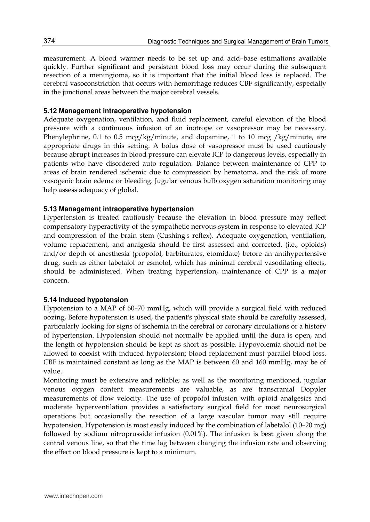measurement. A blood warmer needs to be set up and acid–base estimations available quickly. Further significant and persistent blood loss may occur during the subsequent resection of a meningioma, so it is important that the initial blood loss is replaced. The cerebral vasoconstriction that occurs with hemorrhage reduces CBF significantly, especially in the junctional areas between the major cerebral vessels.

#### **5.12 Management intraoperative hypotension**

Adequate oxygenation, ventilation, and fluid replacement, careful elevation of the blood pressure with a continuous infusion of an inotrope or vasopressor may be necessary. Phenylephrine, 0.1 to 0.5 mcg/kg/minute, and dopamine, 1 to 10 mcg /kg/minute, are appropriate drugs in this setting. A bolus dose of vasopressor must be used cautiously because abrupt increases in blood pressure can elevate ICP to dangerous levels, especially in patients who have disordered auto regulation. Balance between maintenance of CPP to areas of brain rendered ischemic due to compression by hematoma, and the risk of more vasogenic brain edema or bleeding. Jugular venous bulb oxygen saturation monitoring may help assess adequacy of global.

#### **5.13 Management intraoperative hypertension**

Hypertension is treated cautiously because the elevation in blood pressure may reflect compensatory hyperactivity of the sympathetic nervous system in response to elevated ICP and compression of the brain stem (Cushing's reflex). Adequate oxygenation, ventilation, volume replacement, and analgesia should be first assessed and corrected. (i.e., opioids) and/or depth of anesthesia (propofol, barbiturates, etomidate) before an antihypertensive drug, such as either labetalol or esmolol, which has minimal cerebral vasodilating effects, should be administered. When treating hypertension, maintenance of CPP is a major concern.

## **5.14 Induced hypotension**

Hypotension to a MAP of 60–70 mmHg, which will provide a surgical field with reduced oozing, Before hypotension is used, the patient's physical state should be carefully assessed, particularly looking for signs of ischemia in the cerebral or coronary circulations or a history of hypertension. Hypotension should not normally be applied until the dura is open, and the length of hypotension should be kept as short as possible. Hypovolemia should not be allowed to coexist with induced hypotension; blood replacement must parallel blood loss. CBF is maintained constant as long as the MAP is between 60 and 160 mmHg, may be of value.

Monitoring must be extensive and reliable; as well as the monitoring mentioned, jugular venous oxygen content measurements are valuable, as are transcranial Doppler measurements of flow velocity. The use of propofol infusion with opioid analgesics and moderate hyperventilation provides a satisfactory surgical field for most neurosurgical operations but occasionally the resection of a large vascular tumor may still require hypotension. Hypotension is most easily induced by the combination of labetalol (10–20 mg) followed by sodium nitroprusside infusion (0.01%). The infusion is best given along the central venous line, so that the time lag between changing the infusion rate and observing the effect on blood pressure is kept to a minimum.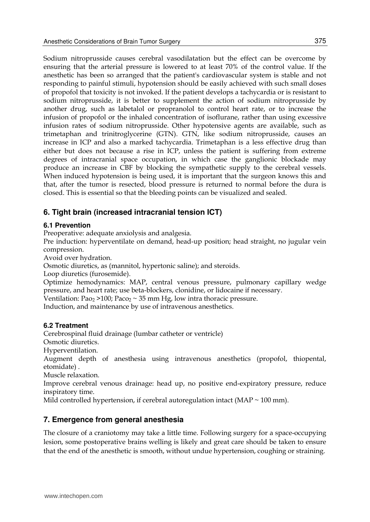Sodium nitroprusside causes cerebral vasodilatation but the effect can be overcome by ensuring that the arterial pressure is lowered to at least 70% of the control value. If the anesthetic has been so arranged that the patient's cardiovascular system is stable and not responding to painful stimuli, hypotension should be easily achieved with such small doses of propofol that toxicity is not invoked. If the patient develops a tachycardia or is resistant to sodium nitroprusside, it is better to supplement the action of sodium nitroprusside by another drug, such as labetalol or propranolol to control heart rate, or to increase the infusion of propofol or the inhaled concentration of isoflurane, rather than using excessive infusion rates of sodium nitroprusside. Other hypotensive agents are available, such as trimetaphan and trinitroglycerine (GTN). GTN, like sodium nitroprusside, causes an increase in ICP and also a marked tachycardia. Trimetaphan is a less effective drug than either but does not because a rise in ICP, unless the patient is suffering from extreme degrees of intracranial space occupation, in which case the ganglionic blockade may produce an increase in CBF by blocking the sympathetic supply to the cerebral vessels. When induced hypotension is being used, it is important that the surgeon knows this and that, after the tumor is resected, blood pressure is returned to normal before the dura is closed. This is essential so that the bleeding points can be visualized and sealed.

# **6. Tight brain (increased intracranial tension ICT)**

## **6.1 Prevention**

Preoperative: adequate anxiolysis and analgesia.

Pre induction: hyperventilate on demand, head-up position; head straight, no jugular vein compression.

Avoid over hydration.

Osmotic diuretics, as (mannitol, hypertonic saline); and steroids.

Loop diuretics (furosemide).

Optimize hemodynamics: MAP, central venous pressure, pulmonary capillary wedge pressure, and heart rate; use beta-blockers, clonidine, or lidocaine if necessary.

Ventilation: Pao<sub>2</sub> > 100; Paco<sub>2</sub>  $\sim$  35 mm Hg, low intra thoracic pressure.

Induction, and maintenance by use of intravenous anesthetics.

## **6.2 Treatment**

Cerebrospinal fluid drainage (lumbar catheter or ventricle)

Osmotic diuretics.

Hyperventilation.

Augment depth of anesthesia using intravenous anesthetics (propofol, thiopental, etomidate) .

Muscle relaxation.

Improve cerebral venous drainage: head up, no positive end-expiratory pressure, reduce inspiratory time.

Mild controlled hypertension, if cerebral autoregulation intact (MAP  $\sim$  100 mm).

# **7. Emergence from general anesthesia**

The closure of a craniotomy may take a little time. Following surgery for a space-occupying lesion, some postoperative brains welling is likely and great care should be taken to ensure that the end of the anesthetic is smooth, without undue hypertension, coughing or straining.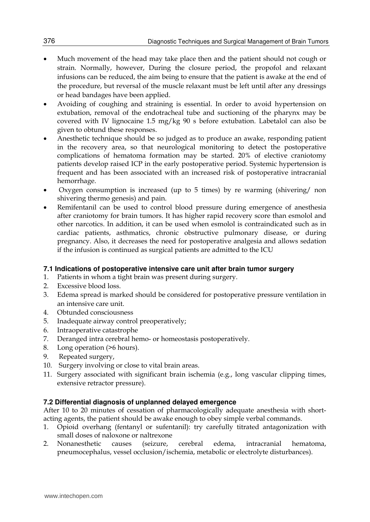- Much movement of the head may take place then and the patient should not cough or strain. Normally, however, During the closure period, the propofol and relaxant infusions can be reduced, the aim being to ensure that the patient is awake at the end of the procedure, but reversal of the muscle relaxant must be left until after any dressings or head bandages have been applied.
- Avoiding of coughing and straining is essential. In order to avoid hypertension on extubation, removal of the endotracheal tube and suctioning of the pharynx may be covered with IV lignocaine 1.5 mg/kg 90 s before extubation. Labetalol can also be given to obtund these responses.
- Anesthetic technique should be so judged as to produce an awake, responding patient in the recovery area, so that neurological monitoring to detect the postoperative complications of hematoma formation may be started. 20% of elective craniotomy patients develop raised ICP in the early postoperative period. Systemic hypertension is frequent and has been associated with an increased risk of postoperative intracranial hemorrhage.
- Oxygen consumption is increased (up to 5 times) by re warming (shivering/ non shivering thermo genesis) and pain.
- Remifentanil can be used to control blood pressure during emergence of anesthesia after craniotomy for brain tumors. It has higher rapid recovery score than esmolol and other narcotics. In addition, it can be used when esmolol is contraindicated such as in cardiac patients, asthmatics, chronic obstructive pulmonary disease, or during pregnancy. Also, it decreases the need for postoperative analgesia and allows sedation if the infusion is continued as surgical patients are admitted to the ICU

# **7.1 Indications of postoperative intensive care unit after brain tumor surgery**

- 1. Patients in whom a tight brain was present during surgery.
- 2. Excessive blood loss.
- 3. Edema spread is marked should be considered for postoperative pressure ventilation in an intensive care unit.
- 4. Obtunded consciousness
- 5. Inadequate airway control preoperatively;
- 6. Intraoperative catastrophe
- 7. Deranged intra cerebral hemo- or homeostasis postoperatively.
- 8. Long operation (>6 hours).
- 9. Repeated surgery,
- 10. Surgery involving or close to vital brain areas.
- 11. Surgery associated with significant brain ischemia (e.g., long vascular clipping times, extensive retractor pressure).

## **7.2 Differential diagnosis of unplanned delayed emergence**

After 10 to 20 minutes of cessation of pharmacologically adequate anesthesia with shortacting agents, the patient should be awake enough to obey simple verbal commands.

- 1. Opioid overhang (fentanyl or sufentanil): try carefully titrated antagonization with small doses of naloxone or naltrexone
- 2. Nonanesthetic causes (seizure, cerebral edema, intracranial hematoma, pneumocephalus, vessel occlusion/ischemia, metabolic or electrolyte disturbances).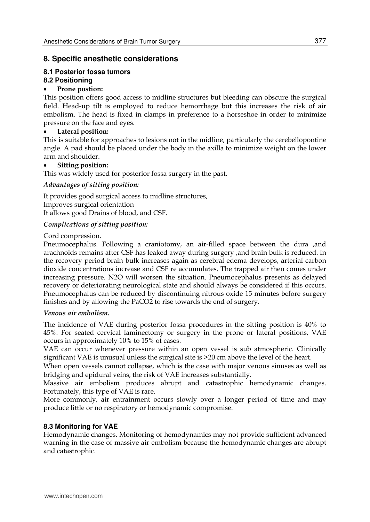## **8. Specific anesthetic considerations**

## **8.1 Posterior fossa tumors 8.2 Positioning**

## **Prone postion:**

This position offers good access to midline structures but bleeding can obscure the surgical field. Head-up tilt is employed to reduce hemorrhage but this increases the risk of air embolism. The head is fixed in clamps in preference to a horseshoe in order to minimize pressure on the face and eyes.

## **Lateral position:**

This is suitable for approaches to lesions not in the midline, particularly the cerebellopontine angle. A pad should be placed under the body in the axilla to minimize weight on the lower arm and shoulder.

## **Sitting position:**

This was widely used for posterior fossa surgery in the past.

## *Advantages of sitting position:*

It provides good surgical access to midline structures, Improves surgical orientation It allows good Drains of blood, and CSF.

## *Complications of sitting position:*

#### Cord compression.

Pneumocephalus. Following a craniotomy, an air-filled space between the dura ,and arachnoids remains after CSF has leaked away during surgery ,and brain bulk is reduced. In the recovery period brain bulk increases again as cerebral edema develops, arterial carbon dioxide concentrations increase and CSF re accumulates. The trapped air then comes under increasing pressure. N2O will worsen the situation. Pneumocephalus presents as delayed recovery or deteriorating neurological state and should always be considered if this occurs. Pneumocephalus can be reduced by discontinuing nitrous oxide 15 minutes before surgery finishes and by allowing the PaCO2 to rise towards the end of surgery.

#### *Venous air embolism.*

The incidence of VAE during posterior fossa procedures in the sitting position is 40% to 45%. For seated cervical laminectomy or surgery in the prone or lateral positions, VAE occurs in approximately 10% to 15% of cases.

VAE can occur whenever pressure within an open vessel is sub atmospheric. Clinically significant VAE is unusual unless the surgical site is >20 cm above the level of the heart.

When open vessels cannot collapse, which is the case with major venous sinuses as well as bridging and epidural veins, the risk of VAE increases substantially.

Massive air embolism produces abrupt and catastrophic hemodynamic changes. Fortunately, this type of VAE is rare.

More commonly, air entrainment occurs slowly over a longer period of time and may produce little or no respiratory or hemodynamic compromise.

## **8.3 Monitoring for VAE**

Hemodynamic changes. Monitoring of hemodynamics may not provide sufficient advanced warning in the case of massive air embolism because the hemodynamic changes are abrupt and catastrophic.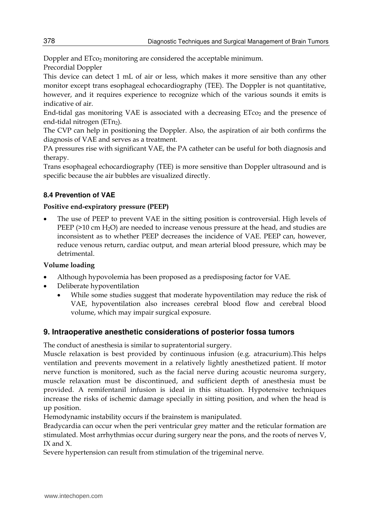Doppler and ETco<sub>2</sub> monitoring are considered the acceptable minimum.

Precordial Doppler

This device can detect 1 mL of air or less, which makes it more sensitive than any other monitor except trans esophageal echocardiography (TEE). The Doppler is not quantitative, however, and it requires experience to recognize which of the various sounds it emits is indicative of air.

End-tidal gas monitoring VAE is associated with a decreasing  $ETco<sub>2</sub>$  and the presence of end-tidal nitrogen (ETn<sub>2</sub>).

The CVP can help in positioning the Doppler. Also, the aspiration of air both confirms the diagnosis of VAE and serves as a treatment.

PA pressures rise with significant VAE, the PA catheter can be useful for both diagnosis and therapy.

Trans esophageal echocardiography (TEE) is more sensitive than Doppler ultrasound and is specific because the air bubbles are visualized directly.

# **8.4 Prevention of VAE**

# **Positive end-expiratory pressure (PEEP)**

 The use of PEEP to prevent VAE in the sitting position is controversial. High levels of PEEP (>10 cm H<sub>2</sub>O) are needed to increase venous pressure at the head, and studies are inconsistent as to whether PEEP decreases the incidence of VAE. PEEP can, however, reduce venous return, cardiac output, and mean arterial blood pressure, which may be detrimental.

# **Volume loading**

- Although hypovolemia has been proposed as a predisposing factor for VAE.
- Deliberate hypoventilation
	- While some studies suggest that moderate hypoventilation may reduce the risk of VAE, hypoventilation also increases cerebral blood flow and cerebral blood volume, which may impair surgical exposure.

# **9. Intraoperative anesthetic considerations of posterior fossa tumors**

The conduct of anesthesia is similar to supratentorial surgery.

Muscle relaxation is best provided by continuous infusion (e.g. atracurium).This helps ventilation and prevents movement in a relatively lightly anesthetized patient. If motor nerve function is monitored, such as the facial nerve during acoustic neuroma surgery, muscle relaxation must be discontinued, and sufficient depth of anesthesia must be provided. A remifentanil infusion is ideal in this situation. Hypotensive techniques increase the risks of ischemic damage specially in sitting position, and when the head is up position.

Hemodynamic instability occurs if the brainstem is manipulated.

Bradycardia can occur when the peri ventricular grey matter and the reticular formation are stimulated. Most arrhythmias occur during surgery near the pons, and the roots of nerves V, IX and X.

Severe hypertension can result from stimulation of the trigeminal nerve.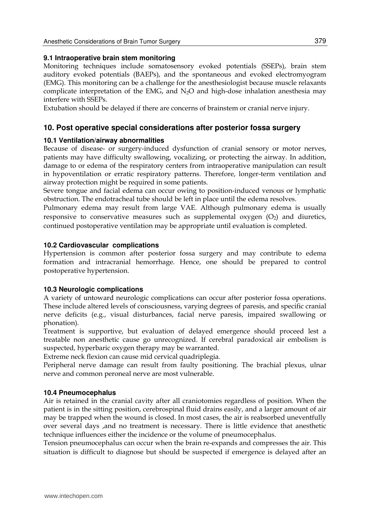## **9.1 Intraoperative brain stem monitoring**

Monitoring techniques include somatosensory evoked potentials (SSEPs), brain stem auditory evoked potentials (BAEPs), and the spontaneous and evoked electromyogram (EMG). This monitoring can be a challenge for the anesthesiologist because muscle relaxants complicate interpretation of the EMG, and  $N_2O$  and high-dose inhalation anesthesia may interfere with SSEPs.

Extubation should be delayed if there are concerns of brainstem or cranial nerve injury.

# **10. Post operative special considerations after posterior fossa surgery**

## **10.1 Ventilation/airway abnormalities**

Because of disease- or surgery-induced dysfunction of cranial sensory or motor nerves, patients may have difficulty swallowing, vocalizing, or protecting the airway. In addition, damage to or edema of the respiratory centers from intraoperative manipulation can result in hypoventilation or erratic respiratory patterns. Therefore, longer-term ventilation and airway protection might be required in some patients.

Severe tongue and facial edema can occur owing to position-induced venous or lymphatic obstruction. The endotracheal tube should be left in place until the edema resolves.

Pulmonary edema may result from large VAE. Although pulmonary edema is usually responsive to conservative measures such as supplemental oxygen  $(O_2)$  and diuretics, continued postoperative ventilation may be appropriate until evaluation is completed.

## **10.2 Cardiovascular complications**

Hypertension is common after posterior fossa surgery and may contribute to edema formation and intracranial hemorrhage. Hence, one should be prepared to control postoperative hypertension.

## **10.3 Neurologic complications**

A variety of untoward neurologic complications can occur after posterior fossa operations. These include altered levels of consciousness, varying degrees of paresis, and specific cranial nerve deficits (e.g., visual disturbances, facial nerve paresis, impaired swallowing or phonation).

Treatment is supportive, but evaluation of delayed emergence should proceed lest a treatable non anesthetic cause go unrecognized. If cerebral paradoxical air embolism is suspected, hyperbaric oxygen therapy may be warranted.

Extreme neck flexion can cause mid cervical quadriplegia.

Peripheral nerve damage can result from faulty positioning. The brachial plexus, ulnar nerve and common peroneal nerve are most vulnerable.

## **10.4 Pneumocephalus**

Air is retained in the cranial cavity after all craniotomies regardless of position. When the patient is in the sitting position, cerebrospinal fluid drains easily, and a larger amount of air may be trapped when the wound is closed. In most cases, the air is reabsorbed uneventfully over several days ,and no treatment is necessary. There is little evidence that anesthetic technique influences either the incidence or the volume of pneumocephalus.

Tension pneumocephalus can occur when the brain re-expands and compresses the air. This situation is difficult to diagnose but should be suspected if emergence is delayed after an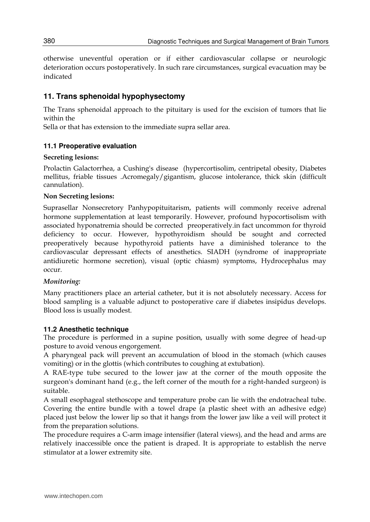otherwise uneventful operation or if either cardiovascular collapse or neurologic deterioration occurs postoperatively. In such rare circumstances, surgical evacuation may be indicated

## **11. Trans sphenoidal hypophysectomy**

The Trans sphenoidal approach to the pituitary is used for the excision of tumors that lie within the

Sella or that has extension to the immediate supra sellar area.

## **11.1 Preoperative evaluation**

#### **Secreting lesions:**

Prolactin Galactorrhea, a Cushing's disease (hypercortisolim, centripetal obesity, Diabetes mellitus, friable tissues .Acromegaly/gigantism, glucose intolerance, thick skin (difficult cannulation).

#### **Non Secreting lesions:**

Suprasellar Nonsecretory Panhypopituitarism, patients will commonly receive adrenal hormone supplementation at least temporarily. However, profound hypocortisolism with associated hyponatremia should be corrected preoperatively.in fact uncommon for thyroid deficiency to occur. However, hypothyroidism should be sought and corrected preoperatively because hypothyroid patients have a diminished tolerance to the cardiovascular depressant effects of anesthetics. SIADH (syndrome of inappropriate antidiuretic hormone secretion), visual (optic chiasm) symptoms, Hydrocephalus may occur.

## *Monitoring:*

Many practitioners place an arterial catheter, but it is not absolutely necessary. Access for blood sampling is a valuable adjunct to postoperative care if diabetes insipidus develops. Blood loss is usually modest.

## **11.2 Anesthetic technique**

The procedure is performed in a supine position, usually with some degree of head-up posture to avoid venous engorgement.

A pharyngeal pack will prevent an accumulation of blood in the stomach (which causes vomiting) or in the glottis (which contributes to coughing at extubation).

A RAE-type tube secured to the lower jaw at the corner of the mouth opposite the surgeon's dominant hand (e.g., the left corner of the mouth for a right-handed surgeon) is suitable.

A small esophageal stethoscope and temperature probe can lie with the endotracheal tube. Covering the entire bundle with a towel drape (a plastic sheet with an adhesive edge) placed just below the lower lip so that it hangs from the lower jaw like a veil will protect it from the preparation solutions.

The procedure requires a C-arm image intensifier (lateral views), and the head and arms are relatively inaccessible once the patient is draped. It is appropriate to establish the nerve stimulator at a lower extremity site.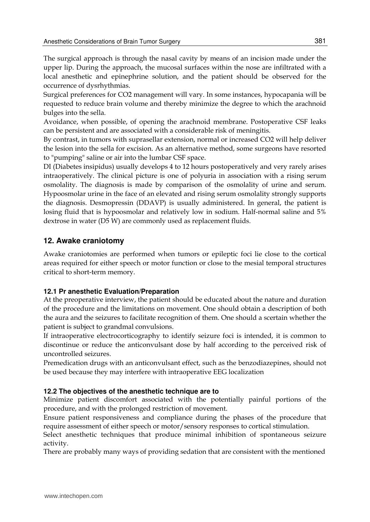The surgical approach is through the nasal cavity by means of an incision made under the upper lip. During the approach, the mucosal surfaces within the nose are infiltrated with a local anesthetic and epinephrine solution, and the patient should be observed for the occurrence of dysrhythmias.

Surgical preferences for CO2 management will vary. In some instances, hypocapania will be requested to reduce brain volume and thereby minimize the degree to which the arachnoid bulges into the sella.

Avoidance, when possible, of opening the arachnoid membrane. Postoperative CSF leaks can be persistent and are associated with a considerable risk of meningitis.

By contrast, in tumors with suprasellar extension, normal or increased CO2 will help deliver the lesion into the sella for excision. As an alternative method, some surgeons have resorted to "pumping" saline or air into the lumbar CSF space.

DI (Diabetes insipidus) usually develops 4 to 12 hours postoperatively and very rarely arises intraoperatively. The clinical picture is one of polyuria in association with a rising serum osmolality. The diagnosis is made by comparison of the osmolality of urine and serum. Hypoosmolar urine in the face of an elevated and rising serum osmolality strongly supports the diagnosis. Desmopressin (DDAVP) is usually administered. In general, the patient is losing fluid that is hypoosmolar and relatively low in sodium. Half-normal saline and 5% dextrose in water (D5 W) are commonly used as replacement fluids.

# **12. Awake craniotomy**

Awake craniotomies are performed when tumors or epileptic foci lie close to the cortical areas required for either speech or motor function or close to the mesial temporal structures critical to short-term memory.

## **12.1 Pr anesthetic Evaluation/Preparation**

At the preoperative interview, the patient should be educated about the nature and duration of the procedure and the limitations on movement. One should obtain a description of both the aura and the seizures to facilitate recognition of them. One should a scertain whether the patient is subject to grandmal convulsions.

If intraoperative electrocorticography to identify seizure foci is intended, it is common to discontinue or reduce the anticonvulsant dose by half according to the perceived risk of uncontrolled seizures.

Premedication drugs with an anticonvulsant effect, such as the benzodiazepines, should not be used because they may interfere with intraoperative EEG localization

## **12.2 The objectives of the anesthetic technique are to**

Minimize patient discomfort associated with the potentially painful portions of the procedure, and with the prolonged restriction of movement.

Ensure patient responsiveness and compliance during the phases of the procedure that require assessment of either speech or motor/sensory responses to cortical stimulation.

Select anesthetic techniques that produce minimal inhibition of spontaneous seizure activity.

There are probably many ways of providing sedation that are consistent with the mentioned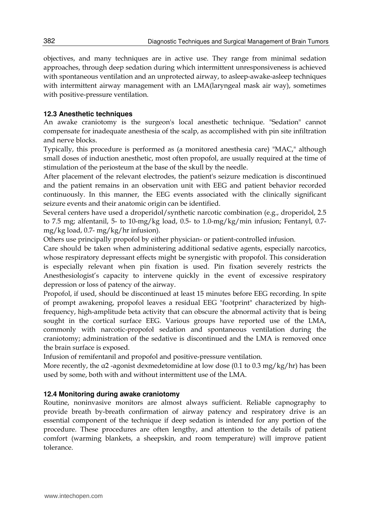objectives, and many techniques are in active use. They range from minimal sedation approaches, through deep sedation during which intermittent unresponsiveness is achieved with spontaneous ventilation and an unprotected airway, to asleep-awake-asleep techniques with intermittent airway management with an LMA(laryngeal mask air way), sometimes with positive-pressure ventilation.

## **12.3 Anesthetic techniques**

An awake craniotomy is the surgeon's local anesthetic technique. "Sedation" cannot compensate for inadequate anesthesia of the scalp, as accomplished with pin site infiltration and nerve blocks.

Typically, this procedure is performed as (a monitored anesthesia care) "MAC," although small doses of induction anesthetic, most often propofol, are usually required at the time of stimulation of the periosteum at the base of the skull by the needle.

After placement of the relevant electrodes, the patient's seizure medication is discontinued and the patient remains in an observation unit with EEG and patient behavior recorded continuously. In this manner, the EEG events associated with the clinically significant seizure events and their anatomic origin can be identified.

Several centers have used a droperidol/synthetic narcotic combination (e.g., droperidol, 2.5 to 7.5 mg; alfentanil, 5- to 10-mg/kg load, 0.5- to 1.0-mg/kg/min infusion; Fentanyl, 0.7 mg/kg load, 0.7- mg/kg/hr infusion).

Others use principally propofol by either physician- or patient-controlled infusion.

Care should be taken when administering additional sedative agents, especially narcotics, whose respiratory depressant effects might be synergistic with propofol. This consideration is especially relevant when pin fixation is used. Pin fixation severely restricts the Anesthesiologist's capacity to intervene quickly in the event of excessive respiratory depression or loss of patency of the airway.

Propofol, if used, should be discontinued at least 15 minutes before EEG recording. In spite of prompt awakening, propofol leaves a residual EEG "footprint" characterized by highfrequency, high-amplitude beta activity that can obscure the abnormal activity that is being sought in the cortical surface EEG. Various groups have reported use of the LMA, commonly with narcotic-propofol sedation and spontaneous ventilation during the craniotomy; administration of the sedative is discontinued and the LMA is removed once the brain surface is exposed.

Infusion of remifentanil and propofol and positive-pressure ventilation.

More recently, the  $\alpha$ 2-agonist dexmedetomidine at low dose (0.1 to 0.3 mg/kg/hr) has been used by some, both with and without intermittent use of the LMA.

## **12.4 Monitoring during awake craniotomy**

Routine, noninvasive monitors are almost always sufficient. Reliable capnography to provide breath by-breath confirmation of airway patency and respiratory drive is an essential component of the technique if deep sedation is intended for any portion of the procedure. These procedures are often lengthy, and attention to the details of patient comfort (warming blankets, a sheepskin, and room temperature) will improve patient tolerance.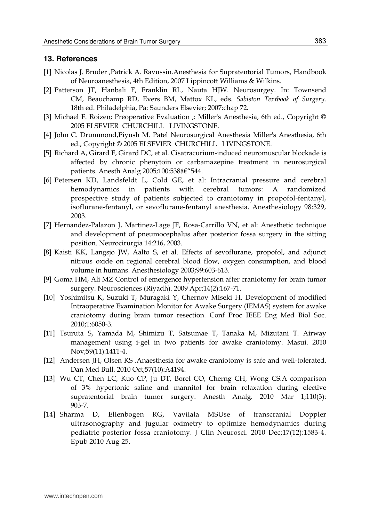#### **13. References**

- [1] Nicolas J. Bruder ,Patrick A. Ravussin.Anesthesia for Supratentorial Tumors, Handbook of Neuroanesthesia, 4th Edition, 2007 Lippincott Williams & Wilkins.
- [2] Patterson JT, Hanbali F, Franklin RL, Nauta HJW. Neurosurgey. In: Townsend CM, Beauchamp RD, Evers BM, Mattox KL, eds. *Sabiston Textbook of Surgery*. 18th ed. Philadelphia, Pa: Saunders Elsevier; 2007:chap 72.
- [3] Michael F. Roizen; Preoperative Evaluation ,: Miller's Anesthesia, 6th ed., Copyright © 2005 ELSEVIER CHURCHILL LIVINGSTONE.
- [4] John C. Drummond,Piyush M. Patel Neurosurgical Anesthesia Miller's Anesthesia, 6th ed., Copyright © 2005 ELSEVIER CHURCHILL LIVINGSTONE.
- [5] Richard A, Girard F, Girard DC, et al. Cisatracurium-induced neuromuscular blockade is affected by chronic phenytoin or carbamazepine treatment in neurosurgical patients. Anesth Analg  $2005;100:538$ â $\varepsilon$ "544.
- [6] Petersen KD, Landsfeldt L, Cold GE, et al: Intracranial pressure and cerebral hemodynamics in patients with cerebral tumors: A randomized prospective study of patients subjected to craniotomy in propofol-fentanyl, isoflurane-fentanyl, or sevoflurane-fentanyl anesthesia. Anesthesiology 98:329, 2003.
- [7] Hernandez-Palazon J, Martinez-Lage JF, Rosa-Carrillo VN, et al: Anesthetic technique and development of pneumocephalus after posterior fossa surgery in the sitting position. Neurocirurgia 14:216, 2003.
- [8] Kaisti KK, Langsjo JW, Aalto S, et al. Effects of sevoflurane, propofol, and adjunct nitrous oxide on regional cerebral blood flow, oxygen consumption, and blood volume in humans. Anesthesiology 2003;99:603-613.
- [9] Goma HM, Ali MZ Control of emergence hypertension after craniotomy for brain tumor surgery. Neurosciences (Riyadh). 2009 Apr;14(2):167-71.
- [10] Yoshimitsu K, Suzuki T, Muragaki Y, Chernov MIseki H. Development of modified Intraoperative Examination Monitor for Awake Surgery (IEMAS) system for awake craniotomy during brain tumor resection. Conf Proc IEEE Eng Med Biol Soc. 2010;1:6050-3.
- [11] Tsuruta S, Yamada M, Shimizu T, Satsumae T, Tanaka M, Mizutani T. Airway management using i-gel in two patients for awake craniotomy. Masui. 2010 Nov;59(11):1411-4.
- [12] Andersen JH, Olsen KS .Anaesthesia for awake craniotomy is safe and well-tolerated. Dan Med Bull. 2010 Oct;57(10):A4194.
- [13] Wu CT, Chen LC, Kuo CP, Ju DT, Borel CO, Cherng CH, Wong CS.A comparison of 3% hypertonic saline and mannitol for brain relaxation during elective supratentorial brain tumor surgery. Anesth Analg. 2010 Mar 1;110(3): 903-7.
- [14] Sharma D, Ellenbogen RG, Vavilala MSUse of transcranial Doppler ultrasonography and jugular oximetry to optimize hemodynamics during pediatric posterior fossa craniotomy. J Clin Neurosci. 2010 Dec;17(12):1583-4. Epub 2010 Aug 25.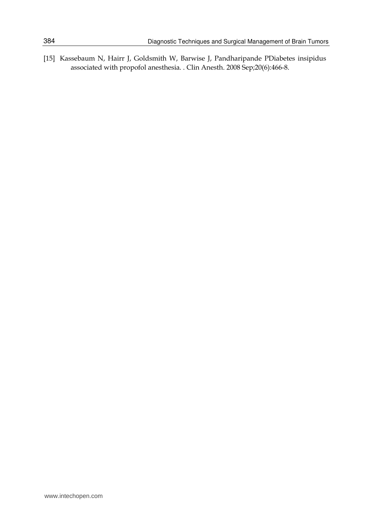[15] Kassebaum N, Hairr J, Goldsmith W, Barwise J, Pandharipande PDiabetes insipidus associated with propofol anesthesia. . Clin Anesth. 2008 Sep;20(6):466-8.